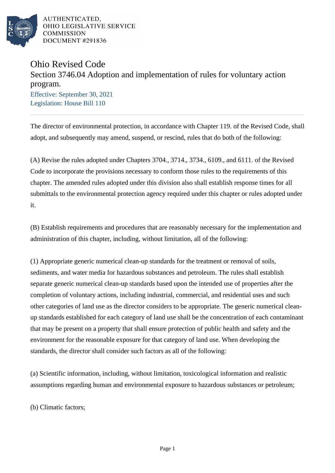

# Ohio Revised Code

# Section 3746.04 Adoption and implementation of rules for voluntary action program.

Effective: September 30, 2021 Legislation: House Bill 110

The director of environmental protection, in accordance with Chapter 119. of the Revised Code, shall adopt, and subsequently may amend, suspend, or rescind, rules that do both of the following:

(A) Revise the rules adopted under Chapters 3704., 3714., 3734., 6109., and 6111. of the Revised Code to incorporate the provisions necessary to conform those rules to the requirements of this chapter. The amended rules adopted under this division also shall establish response times for all submittals to the environmental protection agency required under this chapter or rules adopted under it.

(B) Establish requirements and procedures that are reasonably necessary for the implementation and administration of this chapter, including, without limitation, all of the following:

(1) Appropriate generic numerical clean-up standards for the treatment or removal of soils, sediments, and water media for hazardous substances and petroleum. The rules shall establish separate generic numerical clean-up standards based upon the intended use of properties after the completion of voluntary actions, including industrial, commercial, and residential uses and such other categories of land use as the director considers to be appropriate. The generic numerical cleanup standards established for each category of land use shall be the concentration of each contaminant that may be present on a property that shall ensure protection of public health and safety and the environment for the reasonable exposure for that category of land use. When developing the standards, the director shall consider such factors as all of the following:

(a) Scientific information, including, without limitation, toxicological information and realistic assumptions regarding human and environmental exposure to hazardous substances or petroleum;

(b) Climatic factors;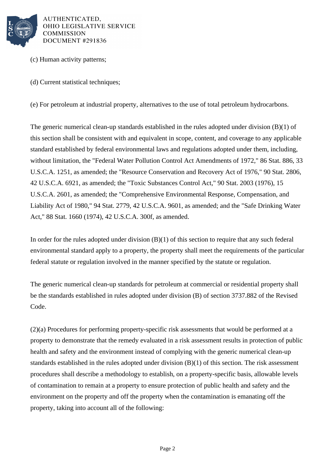

- (c) Human activity patterns;
- (d) Current statistical techniques;

(e) For petroleum at industrial property, alternatives to the use of total petroleum hydrocarbons.

The generic numerical clean-up standards established in the rules adopted under division (B)(1) of this section shall be consistent with and equivalent in scope, content, and coverage to any applicable standard established by federal environmental laws and regulations adopted under them, including, without limitation, the "Federal Water Pollution Control Act Amendments of 1972," 86 Stat. 886, 33 U.S.C.A. 1251, as amended; the "Resource Conservation and Recovery Act of 1976," 90 Stat. 2806, 42 U.S.C.A. 6921, as amended; the "Toxic Substances Control Act," 90 Stat. 2003 (1976), 15 U.S.C.A. 2601, as amended; the "Comprehensive Environmental Response, Compensation, and Liability Act of 1980," 94 Stat. 2779, 42 U.S.C.A. 9601, as amended; and the "Safe Drinking Water Act," 88 Stat. 1660 (1974), 42 U.S.C.A. 300f, as amended.

In order for the rules adopted under division  $(B)(1)$  of this section to require that any such federal environmental standard apply to a property, the property shall meet the requirements of the particular federal statute or regulation involved in the manner specified by the statute or regulation.

The generic numerical clean-up standards for petroleum at commercial or residential property shall be the standards established in rules adopted under division (B) of section 3737.882 of the Revised Code.

(2)(a) Procedures for performing property-specific risk assessments that would be performed at a property to demonstrate that the remedy evaluated in a risk assessment results in protection of public health and safety and the environment instead of complying with the generic numerical clean-up standards established in the rules adopted under division (B)(1) of this section. The risk assessment procedures shall describe a methodology to establish, on a property-specific basis, allowable levels of contamination to remain at a property to ensure protection of public health and safety and the environment on the property and off the property when the contamination is emanating off the property, taking into account all of the following: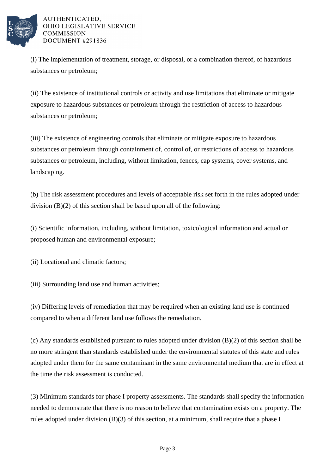

(i) The implementation of treatment, storage, or disposal, or a combination thereof, of hazardous substances or petroleum;

(ii) The existence of institutional controls or activity and use limitations that eliminate or mitigate exposure to hazardous substances or petroleum through the restriction of access to hazardous substances or petroleum;

(iii) The existence of engineering controls that eliminate or mitigate exposure to hazardous substances or petroleum through containment of, control of, or restrictions of access to hazardous substances or petroleum, including, without limitation, fences, cap systems, cover systems, and landscaping.

(b) The risk assessment procedures and levels of acceptable risk set forth in the rules adopted under division (B)(2) of this section shall be based upon all of the following:

(i) Scientific information, including, without limitation, toxicological information and actual or proposed human and environmental exposure;

(ii) Locational and climatic factors;

(iii) Surrounding land use and human activities;

(iv) Differing levels of remediation that may be required when an existing land use is continued compared to when a different land use follows the remediation.

(c) Any standards established pursuant to rules adopted under division (B)(2) of this section shall be no more stringent than standards established under the environmental statutes of this state and rules adopted under them for the same contaminant in the same environmental medium that are in effect at the time the risk assessment is conducted.

(3) Minimum standards for phase I property assessments. The standards shall specify the information needed to demonstrate that there is no reason to believe that contamination exists on a property. The rules adopted under division (B)(3) of this section, at a minimum, shall require that a phase I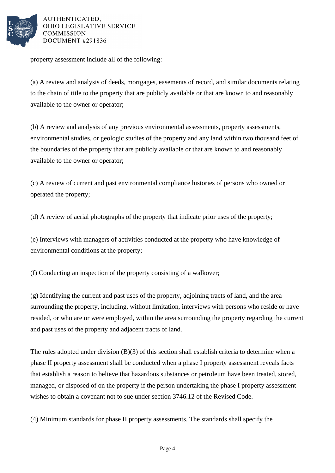

property assessment include all of the following:

(a) A review and analysis of deeds, mortgages, easements of record, and similar documents relating to the chain of title to the property that are publicly available or that are known to and reasonably available to the owner or operator;

(b) A review and analysis of any previous environmental assessments, property assessments, environmental studies, or geologic studies of the property and any land within two thousand feet of the boundaries of the property that are publicly available or that are known to and reasonably available to the owner or operator;

(c) A review of current and past environmental compliance histories of persons who owned or operated the property;

(d) A review of aerial photographs of the property that indicate prior uses of the property;

(e) Interviews with managers of activities conducted at the property who have knowledge of environmental conditions at the property;

(f) Conducting an inspection of the property consisting of a walkover;

(g) Identifying the current and past uses of the property, adjoining tracts of land, and the area surrounding the property, including, without limitation, interviews with persons who reside or have resided, or who are or were employed, within the area surrounding the property regarding the current and past uses of the property and adjacent tracts of land.

The rules adopted under division (B)(3) of this section shall establish criteria to determine when a phase II property assessment shall be conducted when a phase I property assessment reveals facts that establish a reason to believe that hazardous substances or petroleum have been treated, stored, managed, or disposed of on the property if the person undertaking the phase I property assessment wishes to obtain a covenant not to sue under section 3746.12 of the Revised Code.

(4) Minimum standards for phase II property assessments. The standards shall specify the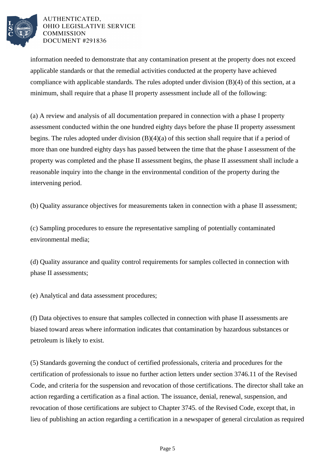

information needed to demonstrate that any contamination present at the property does not exceed applicable standards or that the remedial activities conducted at the property have achieved compliance with applicable standards. The rules adopted under division (B)(4) of this section, at a minimum, shall require that a phase II property assessment include all of the following:

(a) A review and analysis of all documentation prepared in connection with a phase I property assessment conducted within the one hundred eighty days before the phase II property assessment begins. The rules adopted under division (B)(4)(a) of this section shall require that if a period of more than one hundred eighty days has passed between the time that the phase I assessment of the property was completed and the phase II assessment begins, the phase II assessment shall include a reasonable inquiry into the change in the environmental condition of the property during the intervening period.

(b) Quality assurance objectives for measurements taken in connection with a phase II assessment;

(c) Sampling procedures to ensure the representative sampling of potentially contaminated environmental media;

(d) Quality assurance and quality control requirements for samples collected in connection with phase II assessments;

(e) Analytical and data assessment procedures;

(f) Data objectives to ensure that samples collected in connection with phase II assessments are biased toward areas where information indicates that contamination by hazardous substances or petroleum is likely to exist.

(5) Standards governing the conduct of certified professionals, criteria and procedures for the certification of professionals to issue no further action letters under section 3746.11 of the Revised Code, and criteria for the suspension and revocation of those certifications. The director shall take an action regarding a certification as a final action. The issuance, denial, renewal, suspension, and revocation of those certifications are subject to Chapter 3745. of the Revised Code, except that, in lieu of publishing an action regarding a certification in a newspaper of general circulation as required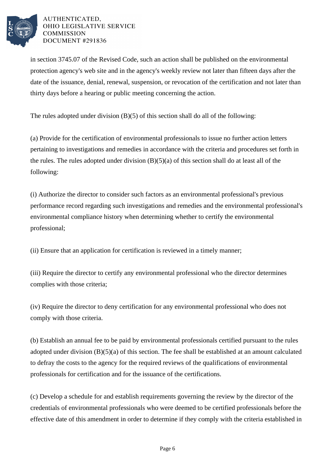

in section 3745.07 of the Revised Code, such an action shall be published on the environmental protection agency's web site and in the agency's weekly review not later than fifteen days after the date of the issuance, denial, renewal, suspension, or revocation of the certification and not later than thirty days before a hearing or public meeting concerning the action.

The rules adopted under division (B)(5) of this section shall do all of the following:

(a) Provide for the certification of environmental professionals to issue no further action letters pertaining to investigations and remedies in accordance with the criteria and procedures set forth in the rules. The rules adopted under division  $(B)(5)(a)$  of this section shall do at least all of the following:

(i) Authorize the director to consider such factors as an environmental professional's previous performance record regarding such investigations and remedies and the environmental professional's environmental compliance history when determining whether to certify the environmental professional;

(ii) Ensure that an application for certification is reviewed in a timely manner;

(iii) Require the director to certify any environmental professional who the director determines complies with those criteria;

(iv) Require the director to deny certification for any environmental professional who does not comply with those criteria.

(b) Establish an annual fee to be paid by environmental professionals certified pursuant to the rules adopted under division  $(B)(5)(a)$  of this section. The fee shall be established at an amount calculated to defray the costs to the agency for the required reviews of the qualifications of environmental professionals for certification and for the issuance of the certifications.

(c) Develop a schedule for and establish requirements governing the review by the director of the credentials of environmental professionals who were deemed to be certified professionals before the effective date of this amendment in order to determine if they comply with the criteria established in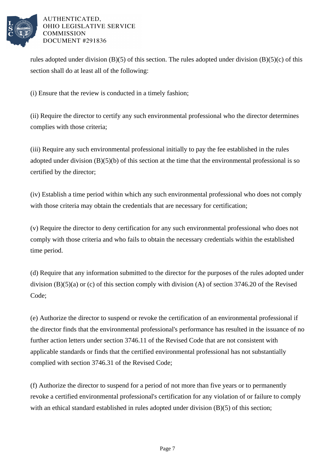

rules adopted under division  $(B)(5)$  of this section. The rules adopted under division  $(B)(5)(c)$  of this section shall do at least all of the following:

(i) Ensure that the review is conducted in a timely fashion;

(ii) Require the director to certify any such environmental professional who the director determines complies with those criteria;

(iii) Require any such environmental professional initially to pay the fee established in the rules adopted under division (B)(5)(b) of this section at the time that the environmental professional is so certified by the director;

(iv) Establish a time period within which any such environmental professional who does not comply with those criteria may obtain the credentials that are necessary for certification;

(v) Require the director to deny certification for any such environmental professional who does not comply with those criteria and who fails to obtain the necessary credentials within the established time period.

(d) Require that any information submitted to the director for the purposes of the rules adopted under division (B)(5)(a) or (c) of this section comply with division (A) of section 3746.20 of the Revised Code;

(e) Authorize the director to suspend or revoke the certification of an environmental professional if the director finds that the environmental professional's performance has resulted in the issuance of no further action letters under section 3746.11 of the Revised Code that are not consistent with applicable standards or finds that the certified environmental professional has not substantially complied with section 3746.31 of the Revised Code;

(f) Authorize the director to suspend for a period of not more than five years or to permanently revoke a certified environmental professional's certification for any violation of or failure to comply with an ethical standard established in rules adopted under division (B)(5) of this section;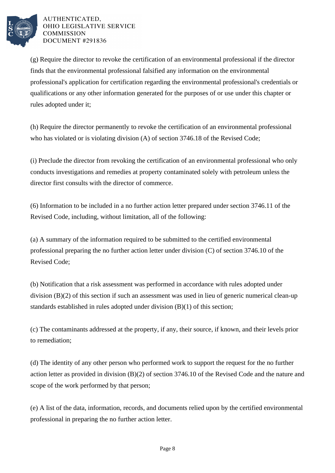

(g) Require the director to revoke the certification of an environmental professional if the director finds that the environmental professional falsified any information on the environmental professional's application for certification regarding the environmental professional's credentials or qualifications or any other information generated for the purposes of or use under this chapter or rules adopted under it;

(h) Require the director permanently to revoke the certification of an environmental professional who has violated or is violating division (A) of section 3746.18 of the Revised Code;

(i) Preclude the director from revoking the certification of an environmental professional who only conducts investigations and remedies at property contaminated solely with petroleum unless the director first consults with the director of commerce.

(6) Information to be included in a no further action letter prepared under section 3746.11 of the Revised Code, including, without limitation, all of the following:

(a) A summary of the information required to be submitted to the certified environmental professional preparing the no further action letter under division (C) of section 3746.10 of the Revised Code;

(b) Notification that a risk assessment was performed in accordance with rules adopted under division (B)(2) of this section if such an assessment was used in lieu of generic numerical clean-up standards established in rules adopted under division (B)(1) of this section;

(c) The contaminants addressed at the property, if any, their source, if known, and their levels prior to remediation;

(d) The identity of any other person who performed work to support the request for the no further action letter as provided in division (B)(2) of section 3746.10 of the Revised Code and the nature and scope of the work performed by that person;

(e) A list of the data, information, records, and documents relied upon by the certified environmental professional in preparing the no further action letter.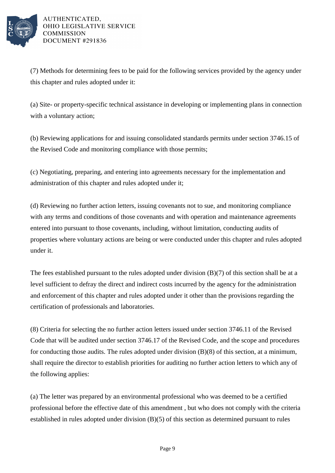

(7) Methods for determining fees to be paid for the following services provided by the agency under this chapter and rules adopted under it:

(a) Site- or property-specific technical assistance in developing or implementing plans in connection with a voluntary action;

(b) Reviewing applications for and issuing consolidated standards permits under section 3746.15 of the Revised Code and monitoring compliance with those permits;

(c) Negotiating, preparing, and entering into agreements necessary for the implementation and administration of this chapter and rules adopted under it;

(d) Reviewing no further action letters, issuing covenants not to sue, and monitoring compliance with any terms and conditions of those covenants and with operation and maintenance agreements entered into pursuant to those covenants, including, without limitation, conducting audits of properties where voluntary actions are being or were conducted under this chapter and rules adopted under it.

The fees established pursuant to the rules adopted under division (B)(7) of this section shall be at a level sufficient to defray the direct and indirect costs incurred by the agency for the administration and enforcement of this chapter and rules adopted under it other than the provisions regarding the certification of professionals and laboratories.

(8) Criteria for selecting the no further action letters issued under section 3746.11 of the Revised Code that will be audited under section 3746.17 of the Revised Code, and the scope and procedures for conducting those audits. The rules adopted under division (B)(8) of this section, at a minimum, shall require the director to establish priorities for auditing no further action letters to which any of the following applies:

(a) The letter was prepared by an environmental professional who was deemed to be a certified professional before the effective date of this amendment , but who does not comply with the criteria established in rules adopted under division (B)(5) of this section as determined pursuant to rules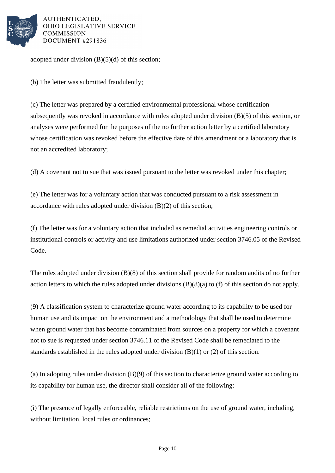

adopted under division  $(B)(5)(d)$  of this section;

(b) The letter was submitted fraudulently;

(c) The letter was prepared by a certified environmental professional whose certification subsequently was revoked in accordance with rules adopted under division (B)(5) of this section, or analyses were performed for the purposes of the no further action letter by a certified laboratory whose certification was revoked before the effective date of this amendment or a laboratory that is not an accredited laboratory;

(d) A covenant not to sue that was issued pursuant to the letter was revoked under this chapter;

(e) The letter was for a voluntary action that was conducted pursuant to a risk assessment in accordance with rules adopted under division (B)(2) of this section;

(f) The letter was for a voluntary action that included as remedial activities engineering controls or institutional controls or activity and use limitations authorized under section 3746.05 of the Revised Code.

The rules adopted under division (B)(8) of this section shall provide for random audits of no further action letters to which the rules adopted under divisions (B)(8)(a) to (f) of this section do not apply.

(9) A classification system to characterize ground water according to its capability to be used for human use and its impact on the environment and a methodology that shall be used to determine when ground water that has become contaminated from sources on a property for which a covenant not to sue is requested under section 3746.11 of the Revised Code shall be remediated to the standards established in the rules adopted under division (B)(1) or (2) of this section.

(a) In adopting rules under division (B)(9) of this section to characterize ground water according to its capability for human use, the director shall consider all of the following:

(i) The presence of legally enforceable, reliable restrictions on the use of ground water, including, without limitation, local rules or ordinances;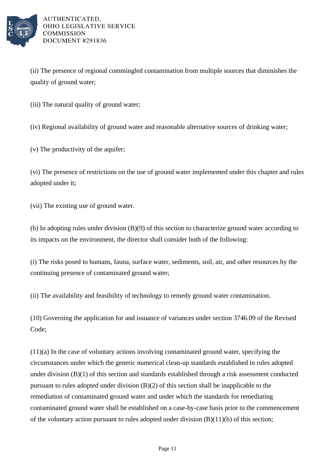

(ii) The presence of regional commingled contamination from multiple sources that diminishes the quality of ground water;

(iii) The natural quality of ground water;

(iv) Regional availability of ground water and reasonable alternative sources of drinking water;

(v) The productivity of the aquifer;

(vi) The presence of restrictions on the use of ground water implemented under this chapter and rules adopted under it;

(vii) The existing use of ground water.

(b) In adopting rules under division (B)(9) of this section to characterize ground water according to its impacts on the environment, the director shall consider both of the following:

(i) The risks posed to humans, fauna, surface water, sediments, soil, air, and other resources by the continuing presence of contaminated ground water;

(ii) The availability and feasibility of technology to remedy ground water contamination.

(10) Governing the application for and issuance of variances under section 3746.09 of the Revised Code;

(11)(a) In the case of voluntary actions involving contaminated ground water, specifying the circumstances under which the generic numerical clean-up standards established in rules adopted under division (B)(1) of this section and standards established through a risk assessment conducted pursuant to rules adopted under division (B)(2) of this section shall be inapplicable to the remediation of contaminated ground water and under which the standards for remediating contaminated ground water shall be established on a case-by-case basis prior to the commencement of the voluntary action pursuant to rules adopted under division  $(B)(11)(b)$  of this section;